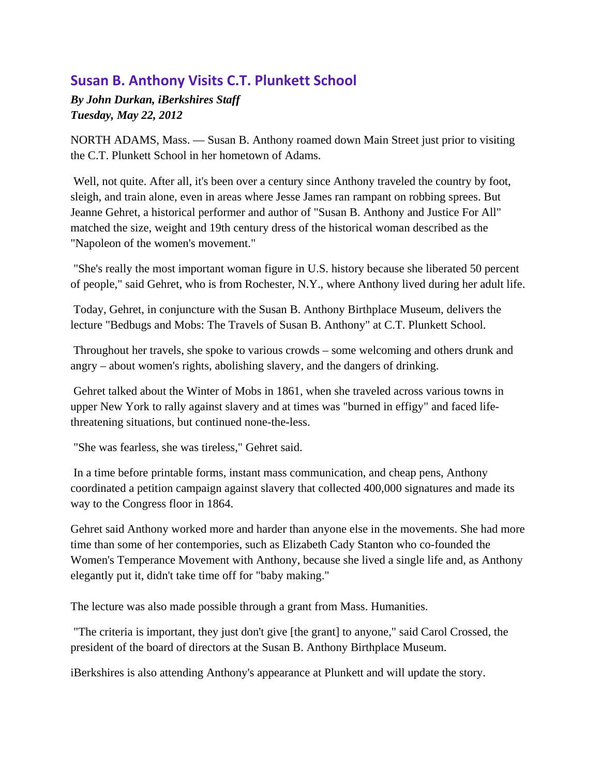## **Susan B. Anthony Visits C.T. Plunkett School**

*By John Durkan, iBerkshires Staff Tuesday, May 22, 2012* 

NORTH ADAMS, Mass. — Susan B. Anthony roamed down Main Street just prior to visiting the C.T. Plunkett School in her hometown of Adams.

 Well, not quite. After all, it's been over a century since Anthony traveled the country by foot, sleigh, and train alone, even in areas where Jesse James ran rampant on robbing sprees. But Jeanne Gehret, a historical performer and author of "Susan B. Anthony and Justice For All" matched the size, weight and 19th century dress of the historical woman described as the "Napoleon of the women's movement."

 "She's really the most important woman figure in U.S. history because she liberated 50 percent of people," said Gehret, who is from Rochester, N.Y., where Anthony lived during her adult life.

 Today, Gehret, in conjuncture with the Susan B. Anthony Birthplace Museum, delivers the lecture "Bedbugs and Mobs: The Travels of Susan B. Anthony" at C.T. Plunkett School.

 Throughout her travels, she spoke to various crowds – some welcoming and others drunk and angry – about women's rights, abolishing slavery, and the dangers of drinking.

 Gehret talked about the Winter of Mobs in 1861, when she traveled across various towns in upper New York to rally against slavery and at times was "burned in effigy" and faced lifethreatening situations, but continued none-the-less.

"She was fearless, she was tireless," Gehret said.

 In a time before printable forms, instant mass communication, and cheap pens, Anthony coordinated a petition campaign against slavery that collected 400,000 signatures and made its way to the Congress floor in 1864.

Gehret said Anthony worked more and harder than anyone else in the movements. She had more time than some of her contempories, such as Elizabeth Cady Stanton who co-founded the Women's Temperance Movement with Anthony, because she lived a single life and, as Anthony elegantly put it, didn't take time off for "baby making."

The lecture was also made possible through a grant from Mass. Humanities.

 "The criteria is important, they just don't give [the grant] to anyone," said Carol Crossed, the president of the board of directors at the Susan B. Anthony Birthplace Museum.

iBerkshires is also attending Anthony's appearance at Plunkett and will update the story.